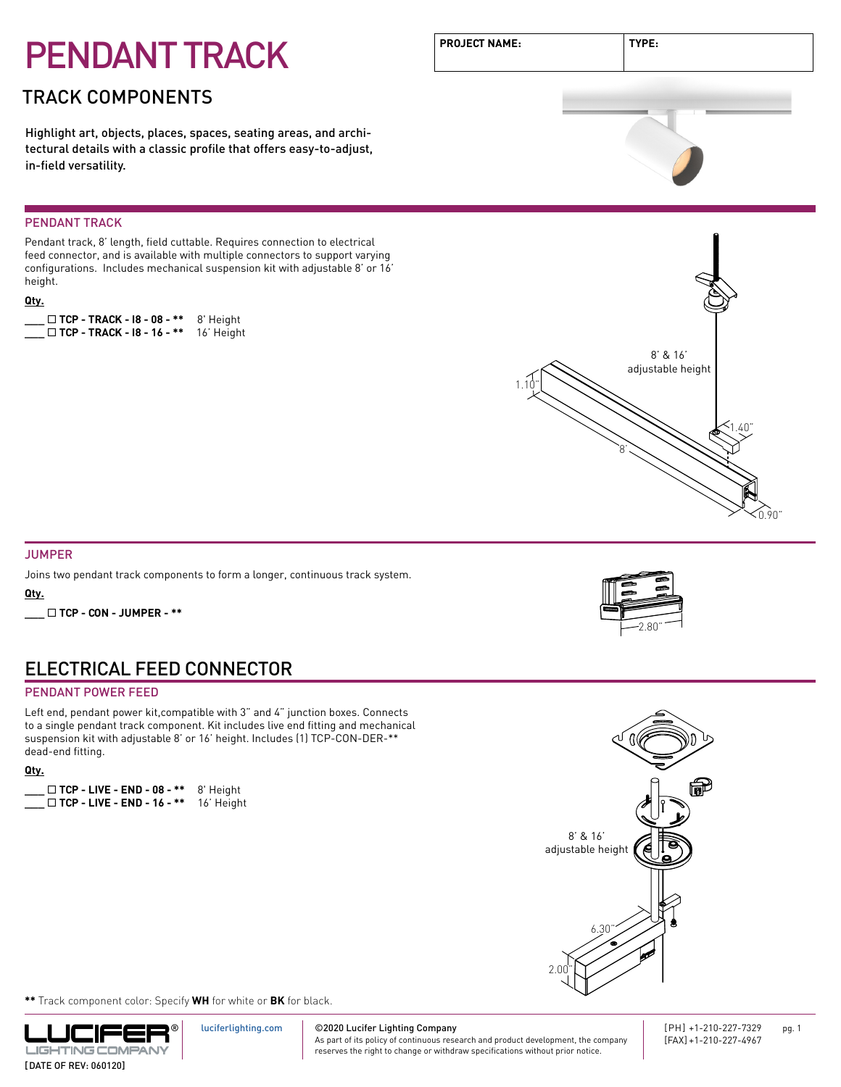# PENDANT TRACK

### TRACK COMPONENTS

Highlight art, objects, places, spaces, seating areas, and architectural details with a classic profile that offers easy-to-adjust, in-field versatility.

#### PENDANT TRACK

Pendant track, 8' length, field cuttable. Requires connection to electrical feed connector, and is available with multiple connectors to support varying configurations. Includes mechanical suspension kit with adjustable 8' or 16' height.

#### **Qty.**

**\_\_\_** ¨ **TCP - TRACK - I8 - 08 - \*\*** 8' Height **\_\_\_** ¨ **TCP - TRACK - I8 - 16 - \*\*** 16' Height







#### JUMPER

Joins two pendant track components to form a longer, continuous track system.

**Qty.**

**\_\_\_** ¨ **TCP - CON - JUMPER - \*\***

### ELECTRICAL FEED CONNECTOR

#### PENDANT POWER FEED

Left end, pendant power kit,compatible with 3" and 4" junction boxes. Connects to a single pendant track component. Kit includes live end fitting and mechanical suspension kit with adjustable 8' or 16' height. Includes (1) TCP-CON-DER-\*\* dead-end fitting.

#### **Qty.**

| $\Box$ TCP - LIVE - END - 08 - ** | 8' Height  |
|-----------------------------------|------------|
| $\Box$ TCP - LIVE - END - 16 - ** | 16' Height |





**\*\*** Track component color: Specify **WH** for white or **BK** for black.



#### ©2020 Lucifer Lighting Company [luciferlighting.com](http://luciferlighting.com/)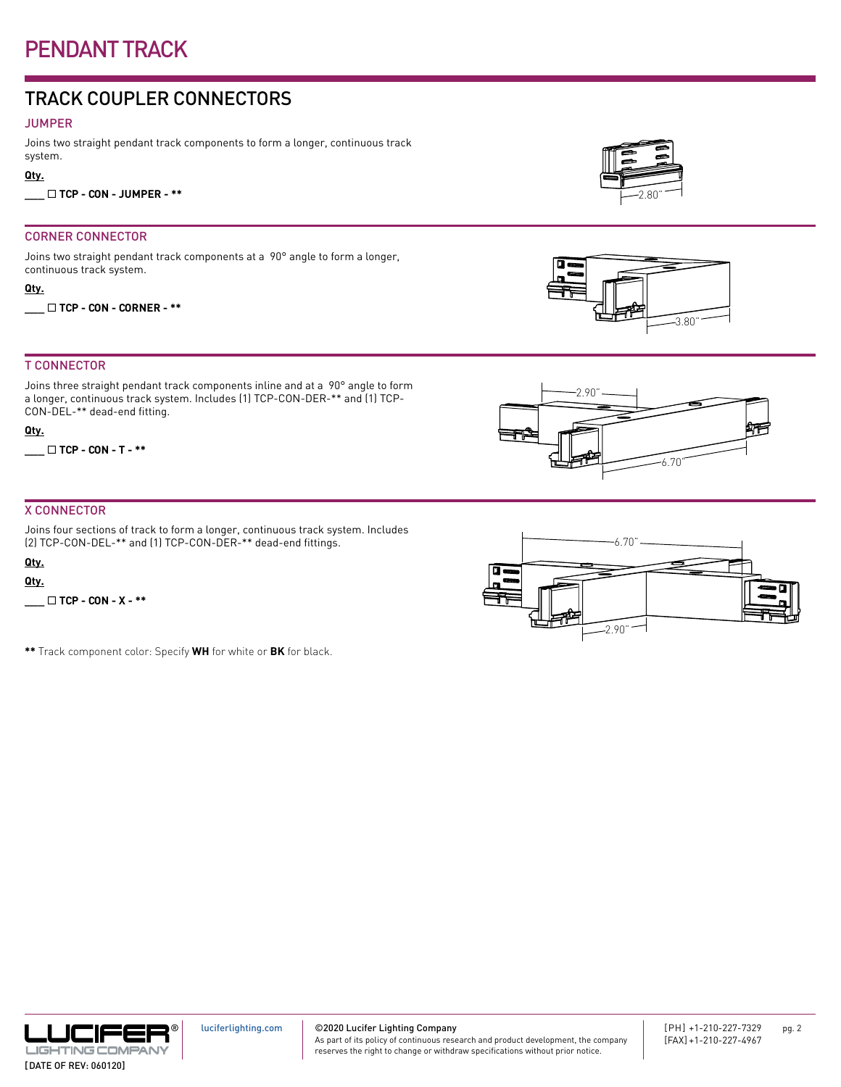### PENDANT TRACK

### TRACK COUPLER CONNECTORS

#### JUMPER

Joins two straight pendant track components to form a longer, continuous track system.

#### **Qty.**

**\_\_\_** ¨ **TCP - CON - JUMPER - \*\***

#### CORNER CONNECTOR

Joins two straight pendant track components at a 90° angle to form a longer, continuous track system.

**Qty.**

**\_\_\_** ¨ **TCP - CON - CORNER - \*\***

#### T CONNECTOR

Joins three straight pendant track components inline and at a 90° angle to form a longer, continuous track system. Includes (1) TCP-CON-DER-\*\* and (1) TCP-CON-DEL-\*\* dead-end fitting.

#### **Qty.**

**\_\_\_** ¨ **TCP - CON - T - \*\***

#### X CONNECTOR

Joins four sections of track to form a longer, continuous track system. Includes (2) TCP-CON-DEL-\*\* and (1) TCP-CON-DER-\*\* dead-end fittings.

[luciferlighting.com](http://luciferlighting.com/)

#### **Qty.**

**Qty.**

**\_\_\_** ¨ **TCP - CON - X - \*\***

**\*\*** Track component color: Specify **WH** for white or **BK** for black.

As part of its policy of continuous research and product development, the company reserves the right to change or withdraw specifications without prior notice.



3.80"







2.90"

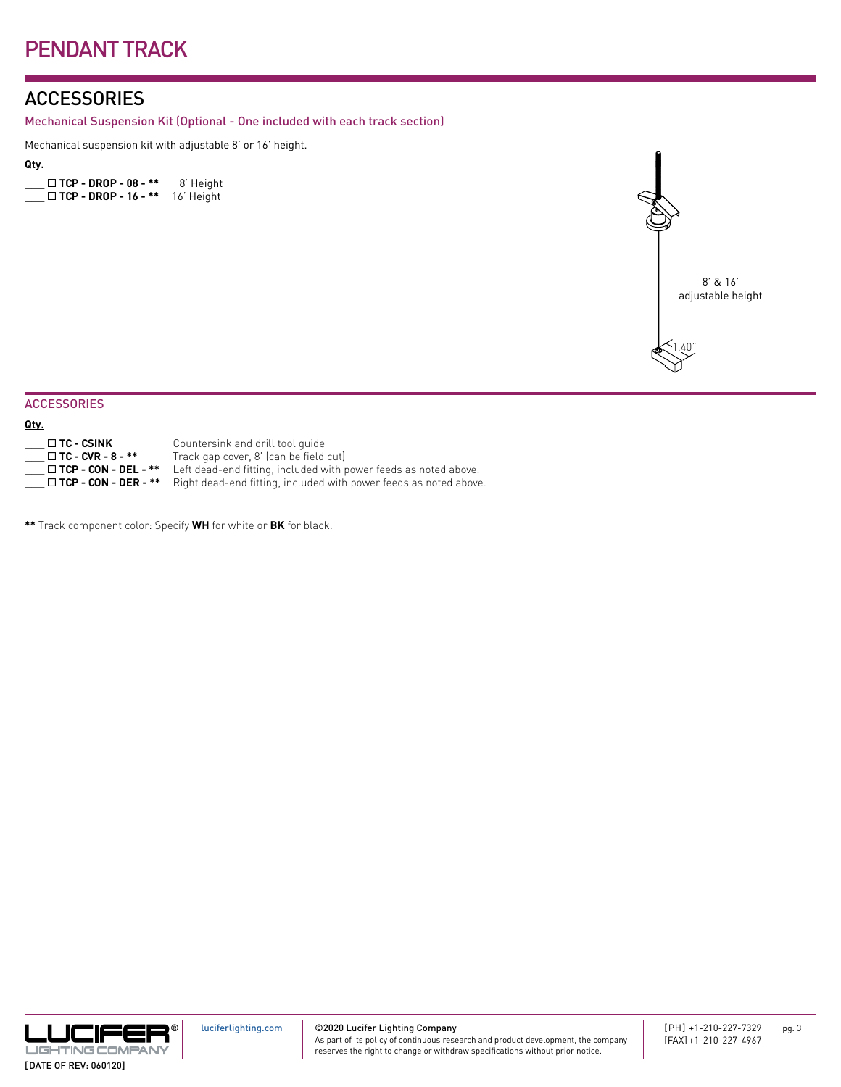### **ACCESSORIES**

Mechanical Suspension Kit (Optional - One included with each track section)

Mechanical suspension kit with adjustable 8' or 16' height.

#### **Qty.**

|  | $\Box$ TCP - DROP - 08 - ** | 8' Height  |
|--|-----------------------------|------------|
|  | $\Box$ TCP - DROP - 16 - ** | 16' Height |



#### **ACCESSORIES**

| _____<br>___ |
|--------------|
|--------------|

| _                                |                                                                  |
|----------------------------------|------------------------------------------------------------------|
| $\_$ $\Box$ TC - CSINK           | Countersink and drill tool quide                                 |
| $\Box$ TC - CVR - 8 - **         | Track gap cover, 8' (can be field cut)                           |
| $\Box$ TCP - CON - DEL - **      | Left dead-end fitting, included with power feeds as noted above. |
| $\_$ $\Box$ TCP - CON - DER - ** | Right dead-end fitting, included with power feeds as noted above |
|                                  |                                                                  |

**\*\*** Track component color: Specify **WH** for white or **BK** for black.



#### ©2020 Lucifer Lighting Company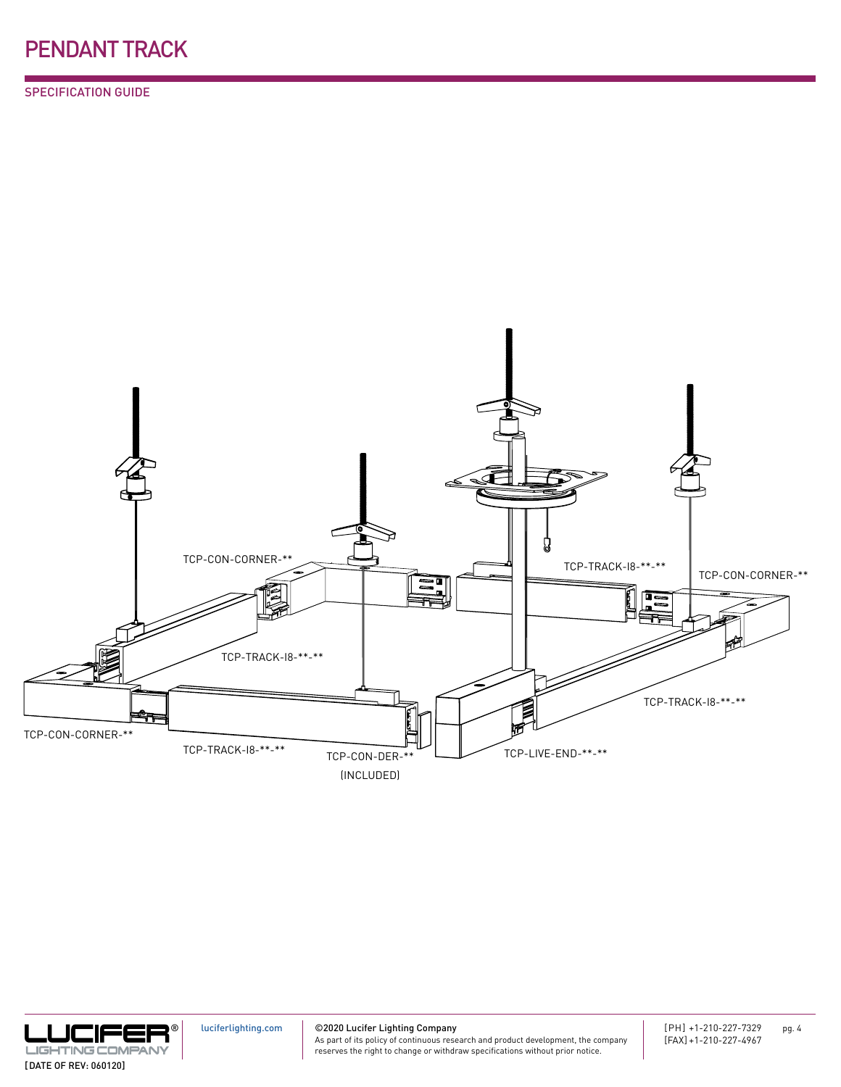SPECIFICATION GUIDE





[luciferlighting.com](http://luciferlighting.com/)

©2020 Lucifer Lighting Company